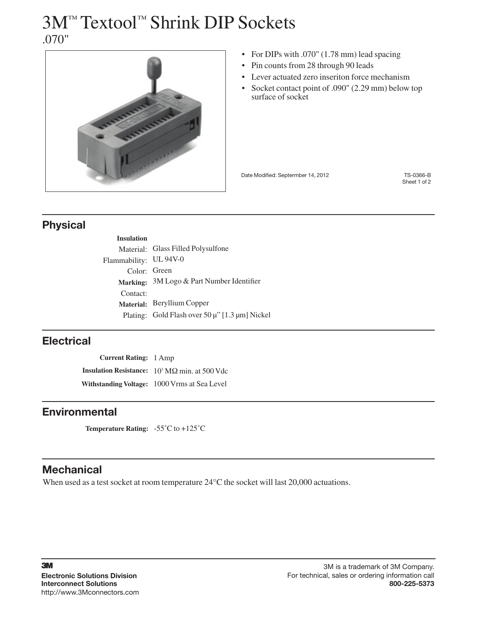## 3M™ Textool™ Shrink DIP Sockets .070"



- For DIPs with .070" (1.78 mm) lead spacing
- Pin counts from 28 through 90 leads
- • Lever actuated zero inseriton force mechanism
- Socket contact point of .090" (2.29 mm) below top surface of socket

Date Modified: Septermber 14, 2012 TS-0366-B

Sheet 1 of 2

## Physical

| Material: Glass Filled Polysulfone             |
|------------------------------------------------|
| Flammability: UL 94V-0                         |
| Color: Green                                   |
| Marking: 3M Logo & Part Number Identifier      |
|                                                |
| Material: Beryllium Copper                     |
| Plating: Gold Flash over 50 µ" [1.3 µm] Nickel |
|                                                |

## **Electrical**

**Current Rating:** 1 Amp **Insulation Resistance:**  $10^3 \text{ M}\Omega$  min. at 500 Vdc **Withstanding Voltage:** 1000 Vrms at Sea Level

### **Environmental**

**Temperature Rating:** -55˚C to +125˚C

## **Mechanical**

When used as a test socket at room temperature 24°C the socket will last 20,000 actuations.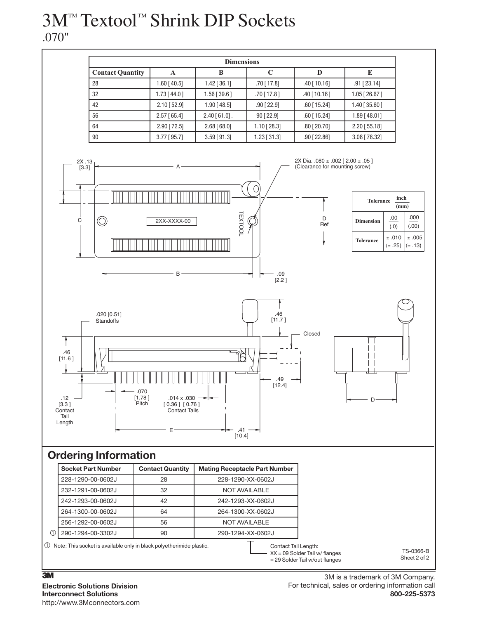# 3M™ Textool™ Shrink DIP Sockets .070"

|                         |               | <b>Dimensions</b> |                |                |                  |
|-------------------------|---------------|-------------------|----------------|----------------|------------------|
| <b>Contact Quantity</b> | A             | B                 |                | D              | E                |
| 28                      | $1.60$ [40.5] | $1.42$ [ 36.1]    | .70 [ 17.8]    | $.40$ [ 10.16] | $.91$ [23.14]    |
| 32                      | $1.73$ [44.0] | $1.56$ [39.6]     | $.70$ [ 17.8 ] | $.40$ [10.16]  | $1.05$ [26.67]   |
| 42                      | $2.10$ [52.9] | $1.90$ [48.5]     | $.90$ [ 22.9]  | $.60$ [15.24]  | $1.40$ [ 35.60 ] |
| 56                      | $2.57$ [65.4] | $2.40$ [61.0].    | 90 [22.9]      | $.60$ [15.24]  | 1.89 [48.01]     |
| 64                      | $2.90$ [72.5] | $2.68$ [68.0]     | $1.10$ [28.3]  | $.80$ [ 20.70] | $2.20$ [55.18]   |
| 90                      | $3.77$ [95.7] | $3.59$ [91.3]     | $1.23$ [ 31.3] | $.90$ [ 22.86] | 3.08 [78.32]     |



## Ordering Information

| <b>Socket Part Number</b>                                                | <b>Contact Quantity</b> | <b>Mating Receptacle Part Number</b>                                                       |
|--------------------------------------------------------------------------|-------------------------|--------------------------------------------------------------------------------------------|
| 228-1290-00-0602J                                                        | 28                      | 228-1290-XX-0602J                                                                          |
| 232-1291-00-0602J                                                        | 32                      | NOT AVAILABLE                                                                              |
| 242-1293-00-0602J                                                        | 42                      | 242-1293-XX-0602J                                                                          |
| 264-1300-00-0602J                                                        | 64                      | 264-1300-XX-0602J                                                                          |
| 256-1292-00-0602J                                                        | 56                      | <b>NOT AVAILABLE</b>                                                                       |
| 290-1294-00-3302J                                                        | 90                      | 290-1294-XX-0602J                                                                          |
| (1) Note: This socket is available only in black polyetherimide plastic. |                         | Contact Tail Length:<br>$XX = 09$ Solder Tail w/ flanges<br>= 29 Solder Tail w/out flanges |

### $\overline{3M}$ Electronic Solutions Division Interconnect Solutions http://www.3Mconnectors.com